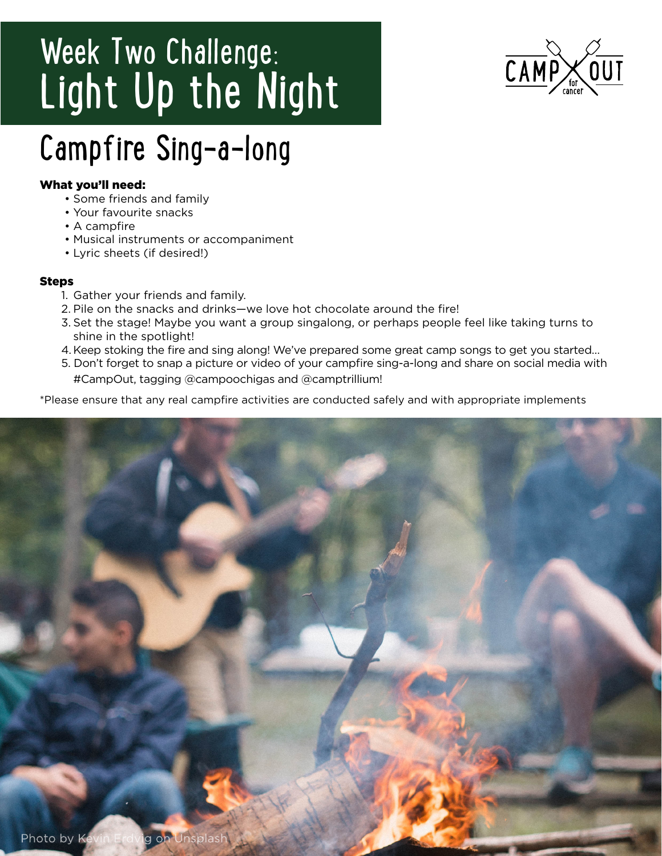# Week Two Challenge: Light Up the Night



## Campfire Sing-a-long

## What you'll need:

- Some friends and family
- Your favourite snacks
- A campfire
- Musical instruments or accompaniment
- Lyric sheets (if desired!)

## Steps

- 1. Gather your friends and family.
- 2. Pile on the snacks and drinks—we love hot chocolate around the fire!
- 3. Set the stage! Maybe you want a group singalong, or perhaps people feel like taking turns to shine in the spotlight!
- 4. Keep stoking the fire and sing along! We've prepared some great camp songs to get you started…
- 5. Don't forget to snap a picture or video of your campfire sing-a-long and share on social media with #CampOut, tagging @campoochigas and @camptrillium!

\*Please ensure that any real campfire activities are conducted safely and with appropriate implements